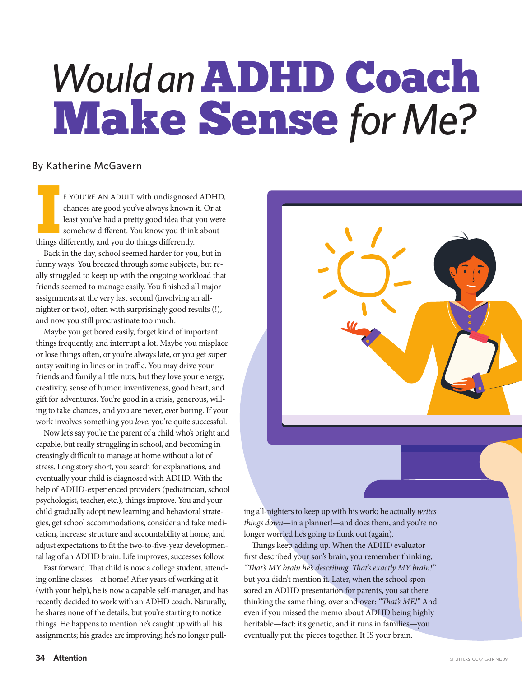# Would an **ADHD Coach** Make Sense *for Me?*

## By Katherine McGavern

**IP THE SET OF THE AN ADULT with undiagnosed chances are good you've always known least you've had a pretty good idea that somehow differently. All things differently, and you do things differently.** F YOU'RE AN ADULT with undiagnosed ADHD, chances are good you've always known it. Or at least you've had a pretty good idea that you were somehow different. You know you think about

Back in the day, school seemed harder for you, but in funny ways. You breezed through some subjects, but really struggled to keep up with the ongoing workload that friends seemed to manage easily. You finished all major assignments at the very last second (involving an allnighter or two), often with surprisingly good results (!), and now you still procrastinate too much.

Maybe you get bored easily, forget kind of important things frequently, and interrupt a lot. Maybe you misplace or lose things often, or you're always late, or you get super antsy waiting in lines or in traffic. You may drive your friends and family a little nuts, but they love your energy, creativity, sense of humor, inventiveness, good heart, and gift for adventures. You're good in a crisis, generous, willing to take chances, and you are never, *ever* boring. If your work involves something you *love*, you're quite successful.

Now let's say you're the parent of a child who's bright and capable, but really struggling in school, and becoming increasingly difficult to manage at home without a lot of stress. Long story short, you search for explanations, and eventually your child is diagnosed with ADHD. With the help of ADHD-experienced providers (pediatrician, school psychologist, teacher, etc.), things improve. You and your child gradually adopt new learning and behavioral strategies, get school accommodations, consider and take medication, increase structure and accountability at home, and adjust expectations to fit the two-to-five-year developmental lag of an ADHD brain. Life improves, successes follow.

Fast forward. That child is now a college student, attending online classes—at home! After years of working at it (with your help), he is now a capable self-manager, and has recently decided to work with an ADHD coach. Naturally, he shares none of the details, but you're starting to notice things. He happens to mention he's caught up with all his assignments; his grades are improving; he's no longer pull-



ing all-nighters to keep up with his work; he actually *writes things down*—in a planner!—and does them, and you're no longer worried he's going to flunk out (again).

Things keep adding up. When the ADHD evaluator first described your son's brain, you remember thinking, *"Th at's MY brain he's describing. Th at's exactly MY brain!"* but you didn't mention it. Later, when the school sponsored an ADHD presentation for parents, you sat there thinking the same thing, over and over: "That's ME!" And even if you missed the memo about ADHD being highly heritable—fact: it's genetic, and it runs in families—you eventually put the pieces together. It IS your brain.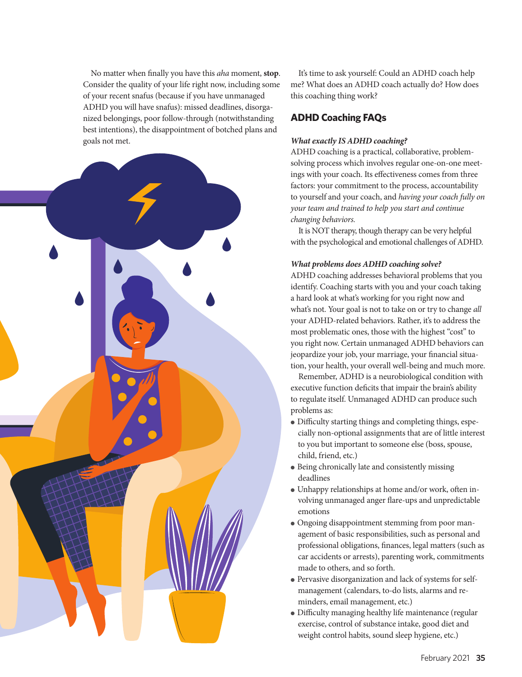No matter when finally you have this *aha* moment, **stop**. Consider the quality of your life right now, including some of your recent snafus (because if you have unmanaged ADHD you will have snafus): missed deadlines, disorganized belongings, poor follow-through (notwithstanding best intentions), the disappointment of botched plans and goals not met.



It's time to ask yourself: Could an ADHD coach help me? What does an ADHD coach actually do? How does this coaching thing work?

## **ADHD Coaching FAQs**

#### *What exactly IS ADHD coaching?*

ADHD coaching is a practical, collaborative, problemsolving process which involves regular one-on-one meetings with your coach. Its effectiveness comes from three factors: your commitment to the process, accountability to yourself and your coach, and *having your coach fully on your team and trained to help you start and continue changing behaviors.* 

It is NOT therapy, though therapy can be very helpful with the psychological and emotional challenges of ADHD.

#### *What problems does ADHD coaching solve?*

ADHD coaching addresses behavioral problems that you identify. Coaching starts with you and your coach taking a hard look at what's working for you right now and what's not. Your goal is not to take on or try to change *all*  your ADHD-related behaviors. Rather, it's to address the most problematic ones, those with the highest "cost" to you right now. Certain unmanaged ADHD behaviors can jeopardize your job, your marriage, your financial situation, your health, your overall well-being and much more.

Remember, ADHD is a neurobiological condition with executive function deficits that impair the brain's ability to regulate itself. Unmanaged ADHD can produce such problems as:

- Difficulty starting things and completing things, especially non-optional assignments that are of little interest to you but important to someone else (boss, spouse, child, friend, etc.)
- Being chronically late and consistently missing deadlines
- Unhappy relationships at home and/or work, often involving unmanaged anger flare-ups and unpredictable emotions
- Ongoing disappointment stemming from poor management of basic responsibilities, such as personal and professional obligations, finances, legal matters (such as car accidents or arrests), parenting work, commitments made to others, and so forth.
- Pervasive disorganization and lack of systems for selfmanagement (calendars, to-do lists, alarms and reminders, email management, etc.)
- Difficulty managing healthy life maintenance (regular exercise, control of substance intake, good diet and weight control habits, sound sleep hygiene, etc.)